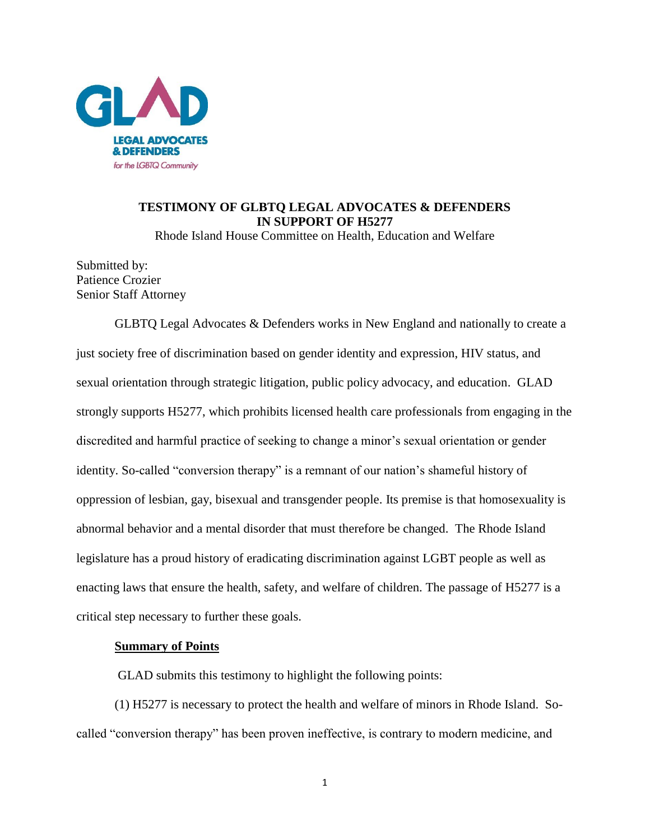

# **TESTIMONY OF GLBTQ LEGAL ADVOCATES & DEFENDERS IN SUPPORT OF H5277**

Rhode Island House Committee on Health, Education and Welfare

Submitted by: Patience Crozier Senior Staff Attorney

GLBTQ Legal Advocates & Defenders works in New England and nationally to create a just society free of discrimination based on gender identity and expression, HIV status, and sexual orientation through strategic litigation, public policy advocacy, and education. GLAD strongly supports H5277, which prohibits licensed health care professionals from engaging in the discredited and harmful practice of seeking to change a minor's sexual orientation or gender identity. So-called "conversion therapy" is a remnant of our nation's shameful history of oppression of lesbian, gay, bisexual and transgender people. Its premise is that homosexuality is abnormal behavior and a mental disorder that must therefore be changed. The Rhode Island legislature has a proud history of eradicating discrimination against LGBT people as well as enacting laws that ensure the health, safety, and welfare of children. The passage of H5277 is a critical step necessary to further these goals.

### **Summary of Points**

GLAD submits this testimony to highlight the following points:

(1) H5277 is necessary to protect the health and welfare of minors in Rhode Island. Socalled "conversion therapy" has been proven ineffective, is contrary to modern medicine, and

1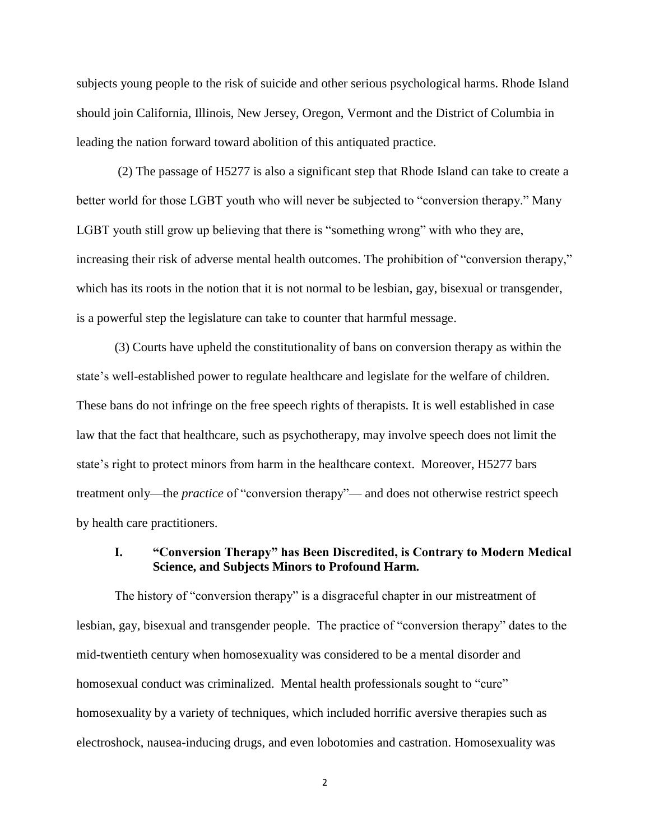subjects young people to the risk of suicide and other serious psychological harms. Rhode Island should join California, Illinois, New Jersey, Oregon, Vermont and the District of Columbia in leading the nation forward toward abolition of this antiquated practice.

(2) The passage of H5277 is also a significant step that Rhode Island can take to create a better world for those LGBT youth who will never be subjected to "conversion therapy." Many LGBT youth still grow up believing that there is "something wrong" with who they are, increasing their risk of adverse mental health outcomes. The prohibition of "conversion therapy," which has its roots in the notion that it is not normal to be lesbian, gay, bisexual or transgender, is a powerful step the legislature can take to counter that harmful message.

(3) Courts have upheld the constitutionality of bans on conversion therapy as within the state's well-established power to regulate healthcare and legislate for the welfare of children. These bans do not infringe on the free speech rights of therapists. It is well established in case law that the fact that healthcare, such as psychotherapy, may involve speech does not limit the state's right to protect minors from harm in the healthcare context. Moreover, H5277 bars treatment only—the *practice* of "conversion therapy"— and does not otherwise restrict speech by health care practitioners.

# **I. "Conversion Therapy" has Been Discredited, is Contrary to Modern Medical Science, and Subjects Minors to Profound Harm.**

The history of "conversion therapy" is a disgraceful chapter in our mistreatment of lesbian, gay, bisexual and transgender people. The practice of "conversion therapy" dates to the mid-twentieth century when homosexuality was considered to be a mental disorder and homosexual conduct was criminalized. Mental health professionals sought to "cure" homosexuality by a variety of techniques, which included horrific aversive therapies such as electroshock, nausea-inducing drugs, and even lobotomies and castration. Homosexuality was

2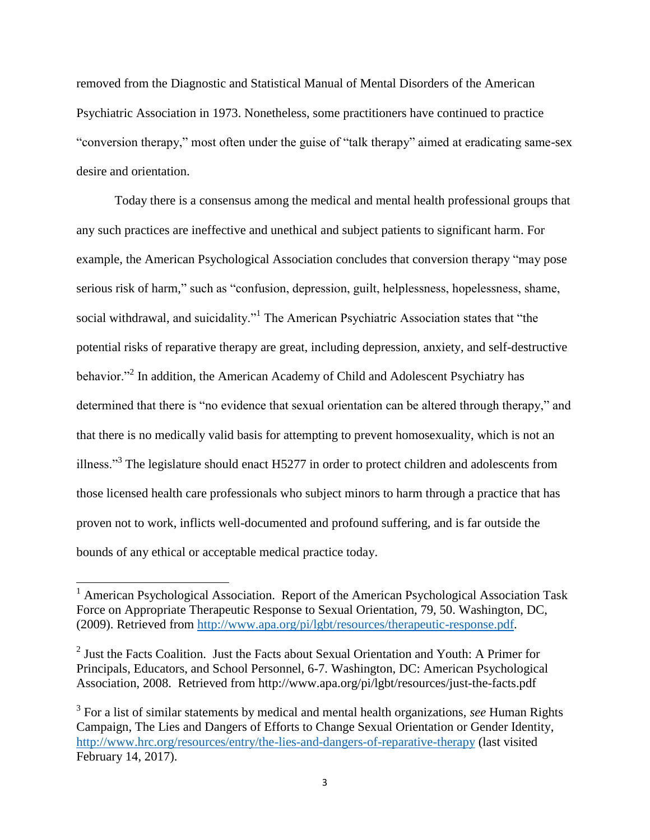removed from the Diagnostic and Statistical Manual of Mental Disorders of the American Psychiatric Association in 1973. Nonetheless, some practitioners have continued to practice "conversion therapy," most often under the guise of "talk therapy" aimed at eradicating same-sex desire and orientation.

Today there is a consensus among the medical and mental health professional groups that any such practices are ineffective and unethical and subject patients to significant harm. For example, the American Psychological Association concludes that conversion therapy "may pose serious risk of harm," such as "confusion, depression, guilt, helplessness, hopelessness, shame, social withdrawal, and suicidality."<sup>1</sup> The American Psychiatric Association states that "the potential risks of reparative therapy are great, including depression, anxiety, and self-destructive behavior."<sup>2</sup> In addition, the American Academy of Child and Adolescent Psychiatry has determined that there is "no evidence that sexual orientation can be altered through therapy," and that there is no medically valid basis for attempting to prevent homosexuality, which is not an illness."<sup>3</sup> The legislature should enact H5277 in order to protect children and adolescents from those licensed health care professionals who subject minors to harm through a practice that has proven not to work, inflicts well-documented and profound suffering, and is far outside the bounds of any ethical or acceptable medical practice today.

 $\overline{a}$ 

<sup>&</sup>lt;sup>1</sup> American Psychological Association. Report of the American Psychological Association Task Force on Appropriate Therapeutic Response to Sexual Orientation, 79, 50. Washington, DC, (2009). Retrieved from [http://www.apa.org/pi/lgbt/resources/therapeutic-response.pdf.](http://www.apa.org/pi/lgbt/resources/therapeutic-response.pdf)

 $2$  Just the Facts Coalition. Just the Facts about Sexual Orientation and Youth: A Primer for Principals, Educators, and School Personnel, 6-7. Washington, DC: American Psychological Association, 2008. Retrieved from http://www.apa.org/pi/lgbt/resources/just-the-facts.pdf

<sup>3</sup> For a list of similar statements by medical and mental health organizations, *see* Human Rights Campaign, The Lies and Dangers of Efforts to Change Sexual Orientation or Gender Identity, <http://www.hrc.org/resources/entry/the-lies-and-dangers-of-reparative-therapy> (last visited February 14, 2017).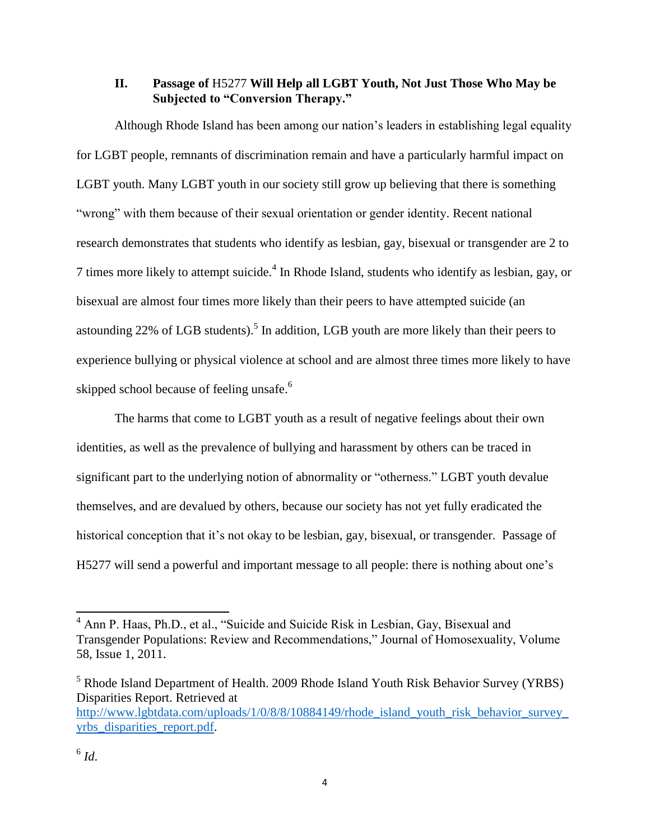# **II. Passage of** H5277 **Will Help all LGBT Youth, Not Just Those Who May be Subjected to "Conversion Therapy."**

Although Rhode Island has been among our nation's leaders in establishing legal equality for LGBT people, remnants of discrimination remain and have a particularly harmful impact on LGBT youth. Many LGBT youth in our society still grow up believing that there is something "wrong" with them because of their sexual orientation or gender identity. Recent national research demonstrates that students who identify as lesbian, gay, bisexual or transgender are 2 to 7 times more likely to attempt suicide.<sup>4</sup> In Rhode Island, students who identify as lesbian, gay, or bisexual are almost four times more likely than their peers to have attempted suicide (an astounding 22% of LGB students).<sup>5</sup> In addition, LGB youth are more likely than their peers to experience bullying or physical violence at school and are almost three times more likely to have skipped school because of feeling unsafe.<sup>6</sup>

The harms that come to LGBT youth as a result of negative feelings about their own identities, as well as the prevalence of bullying and harassment by others can be traced in significant part to the underlying notion of abnormality or "otherness." LGBT youth devalue themselves, and are devalued by others, because our society has not yet fully eradicated the historical conception that it's not okay to be lesbian, gay, bisexual, or transgender. Passage of H5277 will send a powerful and important message to all people: there is nothing about one's

 $\overline{a}$ 

 $4$  Ann P. Haas, Ph.D., et al., "Suicide and Suicide Risk in Lesbian, Gay, Bisexual and Transgender Populations: Review and Recommendations," Journal of Homosexuality, Volume 58, Issue 1, 2011.

<sup>&</sup>lt;sup>5</sup> Rhode Island Department of Health. 2009 Rhode Island Youth Risk Behavior Survey (YRBS) Disparities Report. Retrieved at [http://www.lgbtdata.com/uploads/1/0/8/8/10884149/rhode\\_island\\_youth\\_risk\\_behavior\\_survey\\_](http://www.lgbtdata.com/uploads/1/0/8/8/10884149/rhode_island_youth_risk_behavior_survey_yrbs_disparities_report.pdf) [yrbs\\_disparities\\_report.pdf.](http://www.lgbtdata.com/uploads/1/0/8/8/10884149/rhode_island_youth_risk_behavior_survey_yrbs_disparities_report.pdf)